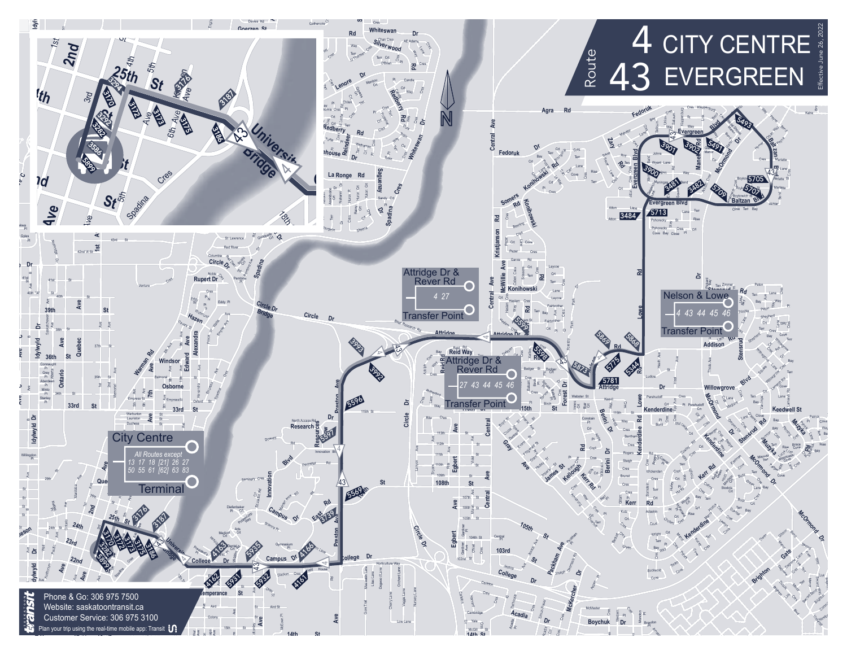